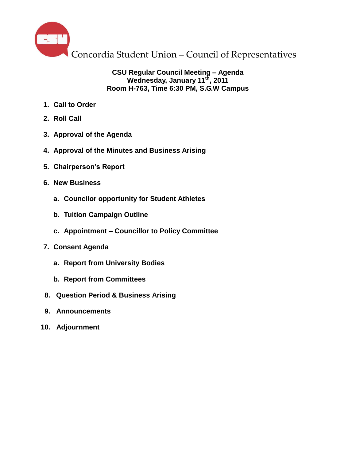

## **CSU Regular Council Meeting – Agenda Wednesday, January 11th , 2011 Room H-763, Time 6:30 PM, S.G.W Campus**

- **1. Call to Order**
- **2. Roll Call**
- **3. Approval of the Agenda**
- **4. Approval of the Minutes and Business Arising**
- **5. Chairperson's Report**
- **6. New Business**
	- **a. Councilor opportunity for Student Athletes**
	- **b. Tuition Campaign Outline**
	- **c. Appointment – Councillor to Policy Committee**
- **7. Consent Agenda**
	- **a. Report from University Bodies**
	- **b. Report from Committees**
- **8. Question Period & Business Arising**
- **9. Announcements**
- **10. Adjournment**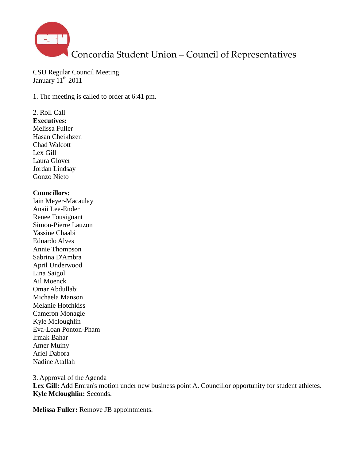

CSU Regular Council Meeting January  $11^{th}$  2011

1. The meeting is called to order at 6:41 pm.

## 2. Roll Call

**Executives:** Melissa Fuller Hasan Cheikhzen Chad Walcott Lex Gill Laura Glover Jordan Lindsay Gonzo Nieto

#### **Councillors:**

Iain Meyer-Macaulay Anaii Lee-Ender Renee Tousignant Simon-Pierre Lauzon Yassine Chaabi Eduardo Alves Annie Thompson Sabrina D'Ambra April Underwood Lina Saigol Ail Moenck Omar Abdullabi Michaela Manson Melanie Hotchkiss Cameron Monagle Kyle Mcloughlin Eva-Loan Ponton-Pham Irmak Bahar Amer Muiny Ariel Dabora Nadine Atallah

3. Approval of the Agenda Lex Gill: Add Emran's motion under new business point A. Councillor opportunity for student athletes. **Kyle Mcloughlin:** Seconds.

**Melissa Fuller:** Remove JB appointments.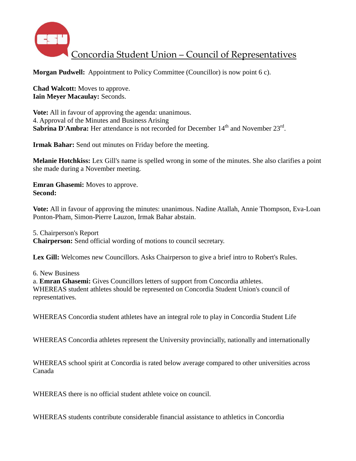

**Morgan Pudwell:** Appointment to Policy Committee (Councillor) is now point 6 c).

**Chad Walcott:** Moves to approve. **Iain Meyer Macaulay:** Seconds.

**Vote:** All in favour of approving the agenda: unanimous. 4. Approval of the Minutes and Business Arising Sabrina D'Ambra: Her attendance is not recorded for December 14<sup>th</sup> and November 23<sup>rd</sup>.

**Irmak Bahar:** Send out minutes on Friday before the meeting.

**Melanie Hotchkiss:** Lex Gill's name is spelled wrong in some of the minutes. She also clarifies a point she made during a November meeting.

**Emran Ghasemi:** Moves to approve. **Second:**

**Vote:** All in favour of approving the minutes: unanimous. Nadine Atallah, Annie Thompson, Eva-Loan Ponton-Pham, Simon-Pierre Lauzon, Irmak Bahar abstain.

5. Chairperson's Report **Chairperson:** Send official wording of motions to council secretary.

Lex Gill: Welcomes new Councillors. Asks Chairperson to give a brief intro to Robert's Rules.

6. New Business

a. **Emran Ghasemi:** Gives Councillors letters of support from Concordia athletes. WHEREAS student athletes should be represented on Concordia Student Union's council of representatives.

WHEREAS Concordia student athletes have an integral role to play in Concordia Student Life

WHEREAS Concordia athletes represent the University provincially, nationally and internationally

WHEREAS school spirit at Concordia is rated below average compared to other universities across Canada

WHEREAS there is no official student athlete voice on council.

WHEREAS students contribute considerable financial assistance to athletics in Concordia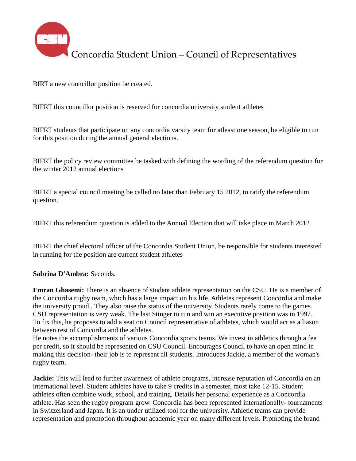

BIRT a new councillor position be created.

BIFRT this councillor position is reserved for concordia university student athletes

BIFRT students that participate on any concordia varsity team for atleast one season, be eligible to run for this position during the annual general elections.

BIFRT the policy review committee be tasked with defining the wording of the referendum question for the winter 2012 annual elections

BIFRT a special council meeting be called no later than February 15 2012, to ratify the referendum question.

BIFRT this referendum question is added to the Annual Election that will take place in March 2012

BIFRT the chief electoral officer of the Concordia Student Union, be responsible for students interested in running for the position are current student athletes

#### **Sabrina D'Ambra:** Seconds.

**Emran Ghasemi:** There is an absence of student athlete representation on the CSU. He is a member of the Concordia rugby team, which has a large impact on his life. Athletes represent Concordia and make the university proud,. They also raise the status of the university. Students rarely come to the games. CSU representation is very weak. The last Stinger to run and win an executive position was in 1997. To fix this, he proposes to add a seat on Council representative of athletes, which would act as a liason between rest of Concordia and the athletes.

He notes the accomplishments of various Concordia sports teams. We invest in athletics through a fee per credit, so it should be represented on CSU Council. Encourages Council to have an open mind in making this decision- their job is to represent all students. Introduces Jackie, a member of the woman's rugby team.

**Jackie:** This will lead to further awareness of athlete programs, increase reputation of Concordia on an international level. Student athletes have to take 9 credits in a semester, most take 12-15. Student athletes often combine work, school, and training. Details her personal experience as a Concordia athlete. Has seen the rugby program grow. Concordia has been represented internationally- tournaments in Switzerland and Japan. It is an under utilized tool for the university. Athletic teams can provide representation and promotion throughout academic year on many different levels. Promoting the brand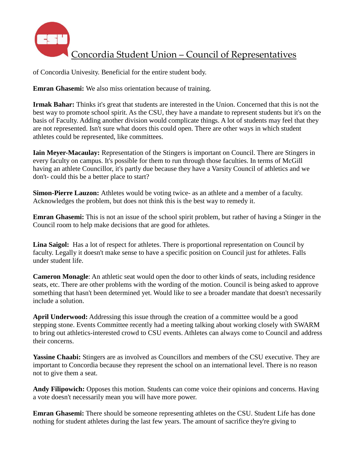

of Concordia Univesity. Beneficial for the entire student body.

**Emran Ghasemi:** We also miss orientation because of training.

**Irmak Bahar:** Thinks it's great that students are interested in the Union. Concerned that this is not the best way to promote school spirit. As the CSU, they have a mandate to represent students but it's on the basis of Faculty. Adding another division would complicate things. A lot of students may feel that they are not represented. Isn't sure what doors this could open. There are other ways in which student athletes could be represented, like committees.

**Iain Meyer-Macaulay:** Representation of the Stingers is important on Council. There are Stingers in every faculty on campus. It's possible for them to run through those faculties. In terms of McGill having an athlete Councillor, it's partly due because they have a Varsity Council of athletics and we don't- could this be a better place to start?

**Simon-Pierre Lauzon:** Athletes would be voting twice- as an athlete and a member of a faculty. Acknowledges the problem, but does not think this is the best way to remedy it.

**Emran Ghasemi:** This is not an issue of the school spirit problem, but rather of having a Stinger in the Council room to help make decisions that are good for athletes.

**Lina Saigol:** Has a lot of respect for athletes. There is proportional representation on Council by faculty. Legally it doesn't make sense to have a specific position on Council just for athletes. Falls under student life.

**Cameron Monagle**: An athletic seat would open the door to other kinds of seats, including residence seats, etc. There are other problems with the wording of the motion. Council is being asked to approve something that hasn't been determined yet. Would like to see a broader mandate that doesn't necessarily include a solution.

**April Underwood:** Addressing this issue through the creation of a committee would be a good stepping stone. Events Committee recently had a meeting talking about working closely with SWARM to bring out athletics-interested crowd to CSU events. Athletes can always come to Council and address their concerns.

**Yassine Chaabi:** Stingers are as involved as Councillors and members of the CSU executive. They are important to Concordia because they represent the school on an international level. There is no reason not to give them a seat.

**Andy Filipowich:** Opposes this motion. Students can come voice their opinions and concerns. Having a vote doesn't necessarily mean you will have more power.

**Emran Ghasemi:** There should be someone representing athletes on the CSU. Student Life has done nothing for student athletes during the last few years. The amount of sacrifice they're giving to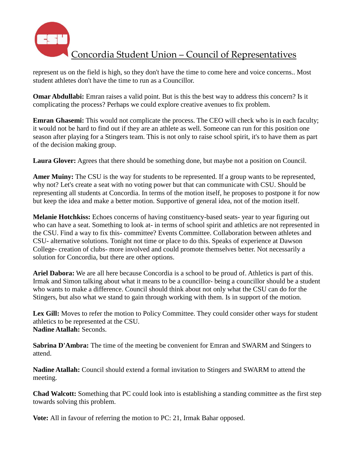

represent us on the field is high, so they don't have the time to come here and voice concerns.. Most student athletes don't have the time to run as a Councillor.

**Omar Abdullabi:** Emran raises a valid point. But is this the best way to address this concern? Is it complicating the process? Perhaps we could explore creative avenues to fix problem.

**Emran Ghasemi:** This would not complicate the process. The CEO will check who is in each faculty; it would not be hard to find out if they are an athlete as well. Someone can run for this position one season after playing for a Stingers team. This is not only to raise school spirit, it's to have them as part of the decision making group.

**Laura Glover:** Agrees that there should be something done, but maybe not a position on Council.

**Amer Muiny:** The CSU is the way for students to be represented. If a group wants to be represented, why not? Let's create a seat with no voting power but that can communicate with CSU. Should be representing all students at Concordia. In terms of the motion itself, he proposes to postpone it for now but keep the idea and make a better motion. Supportive of general idea, not of the motion itself.

**Melanie Hotchkiss:** Echoes concerns of having constituency-based seats- year to year figuring out who can have a seat. Something to look at- in terms of school spirit and athletics are not represented in the CSU. Find a way to fix this- committee? Events Committee. Collaboration between athletes and CSU- alternative solutions. Tonight not time or place to do this. Speaks of experience at Dawson College- creation of clubs- more involved and could promote themselves better. Not necessarily a solution for Concordia, but there are other options.

**Ariel Dabora:** We are all here because Concordia is a school to be proud of. Athletics is part of this. Irmak and Simon talking about what it means to be a councillor- being a councillor should be a student who wants to make a difference. Council should think about not only what the CSU can do for the Stingers, but also what we stand to gain through working with them. Is in support of the motion.

Lex Gill: Moves to refer the motion to Policy Committee. They could consider other ways for student athletics to be represented at the CSU. **Nadine Atallah:** Seconds.

**Sabrina D'Ambra:** The time of the meeting be convenient for Emran and SWARM and Stingers to attend.

**Nadine Atallah:** Council should extend a formal invitation to Stingers and SWARM to attend the meeting.

**Chad Walcott:** Something that PC could look into is establishing a standing committee as the first step towards solving this problem.

**Vote:** All in favour of referring the motion to PC: 21, Irmak Bahar opposed.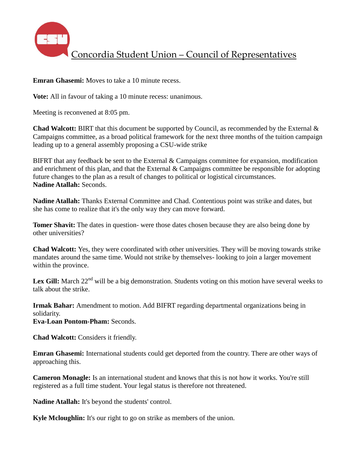

**Emran Ghasemi:** Moves to take a 10 minute recess.

**Vote:** All in favour of taking a 10 minute recess: unanimous.

Meeting is reconvened at 8:05 pm.

**Chad Walcott:** BIRT that this document be supported by Council, as recommended by the External & Campaigns committee, as a broad political framework for the next three months of the tuition campaign leading up to a general assembly proposing a CSU-wide strike

BIFRT that any feedback be sent to the External  $&$  Campaigns committee for expansion, modification and enrichment of this plan, and that the External  $\&$  Campaigns committee be responsible for adopting future changes to the plan as a result of changes to political or logistical circumstances. **Nadine Atallah:** Seconds.

**Nadine Atallah:** Thanks External Committee and Chad. Contentious point was strike and dates, but she has come to realize that it's the only way they can move forward.

**Tomer Shavit:** The dates in question- were those dates chosen because they are also being done by other universities?

**Chad Walcott:** Yes, they were coordinated with other universities. They will be moving towards strike mandates around the same time. Would not strike by themselves- looking to join a larger movement within the province.

Lex Gill: March 22<sup>nd</sup> will be a big demonstration. Students voting on this motion have several weeks to talk about the strike.

**Irmak Bahar:** Amendment to motion. Add BIFRT regarding departmental organizations being in solidarity.

**Eva-Loan Pontom-Pham:** Seconds.

**Chad Walcott:** Considers it friendly.

**Emran Ghasemi:** International students could get deported from the country. There are other ways of approaching this.

**Cameron Monagle:** Is an international student and knows that this is not how it works. You're still registered as a full time student. Your legal status is therefore not threatened.

**Nadine Atallah:** It's beyond the students' control.

**Kyle Mcloughlin:** It's our right to go on strike as members of the union.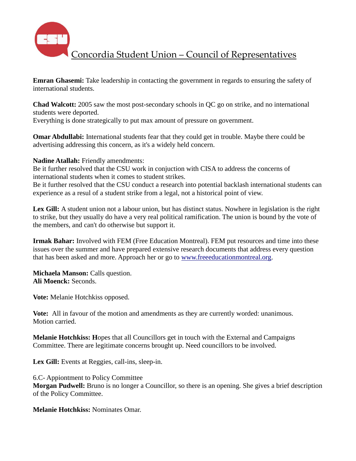

**Emran Ghasemi:** Take leadership in contacting the government in regards to ensuring the safety of international students.

**Chad Walcott:** 2005 saw the most post-secondary schools in QC go on strike, and no international students were deported.

Everything is done strategically to put max amount of pressure on government.

**Omar Abdullabi:** International students fear that they could get in trouble. Maybe there could be advertising addressing this concern, as it's a widely held concern.

**Nadine Atallah:** Friendly amendments:

Be it further resolved that the CSU work in conjuction with CISA to address the concerns of international students when it comes to student strikes.

Be it further resolved that the CSU conduct a research into potential backlash international students can experience as a resul of a student strike from a legal, not a historical point of view.

**Lex Gill:** A student union not a labour union, but has distinct status. Nowhere in legislation is the right to strike, but they usually do have a very real political ramification. The union is bound by the vote of the members, and can't do otherwise but support it.

**Irmak Bahar:** Involved with FEM (Free Education Montreal). FEM put resources and time into these issues over the summer and have prepared extensive research documents that address every question that has been asked and more. Approach her or go to [www.freeeducationmontreal.org.](http://www.freeeducationmontreal.org/)

**Michaela Manson:** Calls question. **Ali Moenck:** Seconds.

**Vote:** Melanie Hotchkiss opposed.

**Vote:** All in favour of the motion and amendments as they are currently worded: unanimous. Motion carried.

**Melanie Hotchkiss: H**opes that all Councillors get in touch with the External and Campaigns Committee. There are legitimate concerns brought up. Need councillors to be involved.

Lex Gill: Events at Reggies, call-ins, sleep-in.

6.C- Appiontment to Policy Committee

**Morgan Pudwell:** Bruno is no longer a Councillor, so there is an opening. She gives a brief description of the Policy Committee.

**Melanie Hotchkiss:** Nominates Omar.